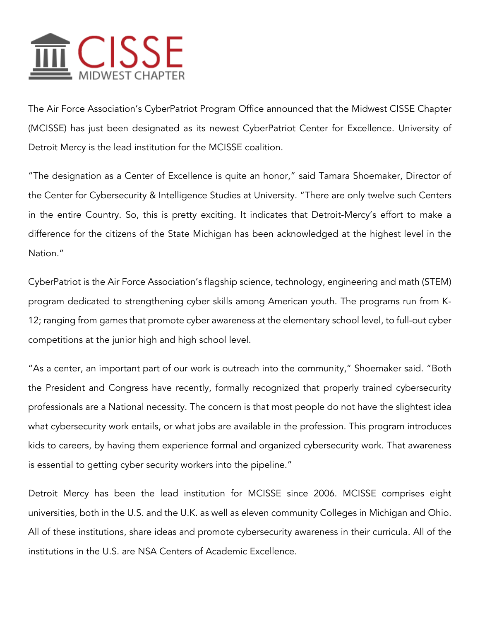## $\overline{\mathfrak{m}}$  CISSE

The Air Force Association's CyberPatriot Program Office announced that the Midwest CISSE Chapter (MCISSE) has just been designated as its newest CyberPatriot Center for Excellence. University of Detroit Mercy is the lead institution for the MCISSE coalition.

"The designation as a Center of Excellence is quite an honor," said Tamara Shoemaker, Director of the Center for Cybersecurity & Intelligence Studies at University. "There are only twelve such Centers in the entire Country. So, this is pretty exciting. It indicates that Detroit-Mercy's effort to make a difference for the citizens of the State Michigan has been acknowledged at the highest level in the Nation."

CyberPatriot is the Air Force Association's flagship science, technology, engineering and math (STEM) program dedicated to strengthening cyber skills among American youth. The programs run from K-12; ranging from games that promote cyber awareness at the elementary school level, to full-out cyber competitions at the junior high and high school level.

"As a center, an important part of our work is outreach into the community," Shoemaker said. "Both the President and Congress have recently, formally recognized that properly trained cybersecurity professionals are a National necessity. The concern is that most people do not have the slightest idea what cybersecurity work entails, or what jobs are available in the profession. This program introduces kids to careers, by having them experience formal and organized cybersecurity work. That awareness is essential to getting cyber security workers into the pipeline."

Detroit Mercy has been the lead institution for MCISSE since 2006. MCISSE comprises eight universities, both in the U.S. and the U.K. as well as eleven community Colleges in Michigan and Ohio. All of these institutions, share ideas and promote cybersecurity awareness in their curricula. All of the institutions in the U.S. are NSA Centers of Academic Excellence.